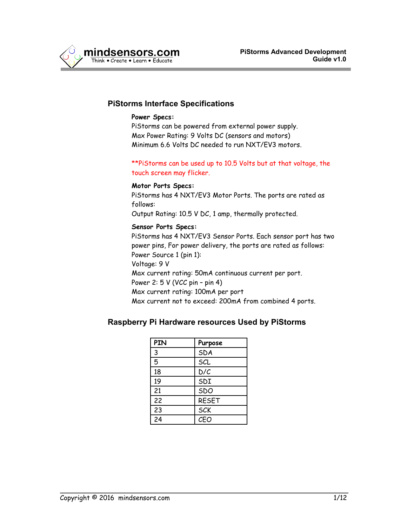

### **PiStorms Interface Specifications**

#### **Power Specs:**

PiStorms can be powered from external power supply. Max Power Rating: 9 Volts DC (sensors and motors) Minimum 6.6 Volts DC needed to run NXT/EV3 motors.

#### \*\*PiStorms can be used up to 10.5 Volts but at that voltage, the touch screen may flicker.

#### **Motor Ports Specs:**

PiStorms has 4 NXT/EV3 Motor Ports. The ports are rated as follows:

Output Rating: 10.5 V DC, 1 amp, thermally protected.

#### **Sensor Ports Specs:**

PiStorms has 4 NXT/EV3 Sensor Ports. Each sensor port has two power pins, For power delivery, the ports are rated as follows: Power Source 1 (pin 1): Voltage: 9 V Max current rating: 50mA continuous current per port. Power 2: 5 V (VCC pin – pin 4) Max current rating: 100mA per port Max current not to exceed: 200mA from combined 4 ports.

### **Raspberry Pi Hardware resources Used by PiStorms**

| PIN | Purpose      |
|-----|--------------|
| 3   | SDA          |
| 5   | SCL          |
| 18  | D/C          |
| 19  | SDI          |
| 21  | SDO          |
| 22  | <b>RESET</b> |
| 23  | <b>SCK</b>   |
| 24  | CEO          |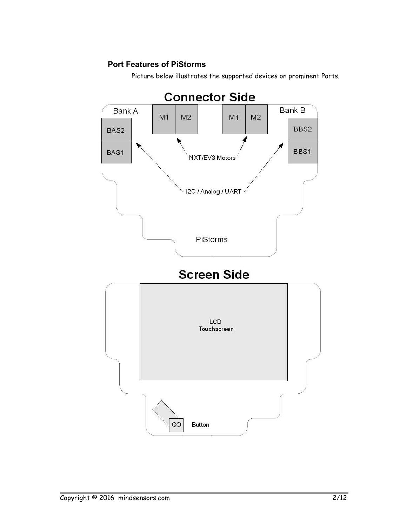# **Port Features of PiStorms**

Picture below illustrates the supported devices on prominent Ports.

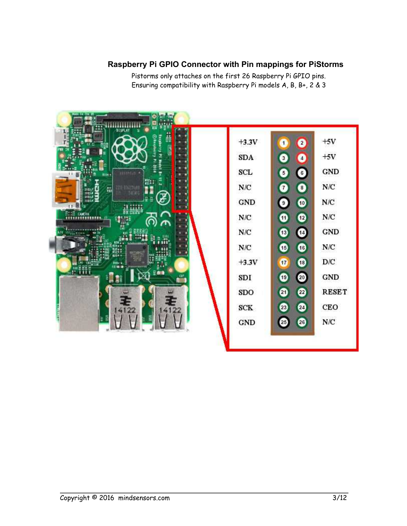# **Raspberry Pi GPIO Connector with Pin mappings for PiStorms**

Pistorms only attaches on the first 26 Raspberry Pi GPIO pins. Ensuring compatibility with Raspberry Pi models A, B, B+, 2 & 3

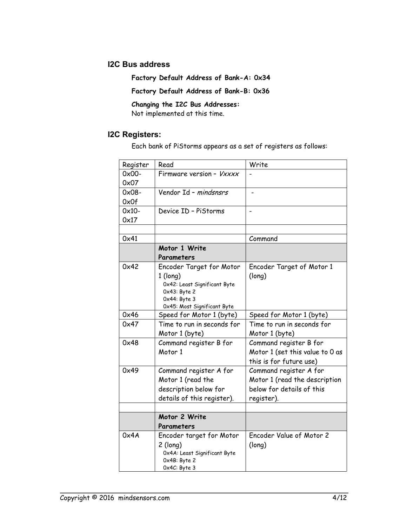### **I2C Bus address**

**Factory Default Address of Bank-A: 0x34**

**Factory Default Address of Bank-B: 0x36**

**Changing the I2C Bus Addresses:** 

Not implemented at this time.

## **I2C Registers:**

Each bank of PiStorms appears as a set of registers as follows:

| Register | Read                            | Write                           |
|----------|---------------------------------|---------------------------------|
| $0x00-$  | Firmware version - Vxxxx        |                                 |
| 0x07     |                                 |                                 |
| $0x08 -$ | Vendor Id - mindsnsrs           |                                 |
| 0x0f     |                                 |                                 |
| $0x10-$  | Device ID - PiStorms            | $\overline{a}$                  |
| 0x17     |                                 |                                 |
|          |                                 |                                 |
| 0x41     |                                 | Command                         |
|          | Motor 1 Write                   |                                 |
|          | Parameters                      |                                 |
| 0x42     | Encoder Target for Motor        | Encoder Target of Motor 1       |
|          | $1$ (long)                      | (long)                          |
|          | 0x42: Least Significant Byte    |                                 |
|          | 0x43: Byte 2<br>$0x44$ : Byte 3 |                                 |
|          | 0x45: Most Significant Byte     |                                 |
| 0x46     | Speed for Motor 1 (byte)        | Speed for Motor 1 (byte)        |
| 0x47     | Time to run in seconds for      | Time to run in seconds for      |
|          | Motor 1 (byte)                  | Motor 1 (byte)                  |
| 0x48     | Command register B for          | Command register B for          |
|          | Motor 1                         | Motor 1 (set this value to 0 as |
|          |                                 | this is for future use)         |
| 0x49     | Command register A for          | Command register A for          |
|          | Motor 1 (read the               | Motor 1 (read the description   |
|          | description below for           | below for details of this       |
|          | details of this register).      | register).                      |
|          |                                 |                                 |
|          | Motor 2 Write                   |                                 |
|          | Parameters                      |                                 |
| 0x4A     | Encoder target for Motor        | Encoder Value of Motor 2        |
|          | $2$ (long)                      | (long)                          |
|          | Ox4A: Least Significant Byte    |                                 |
|          | Ox4B: Byte 2<br>Ox4C: Byte 3    |                                 |
|          |                                 |                                 |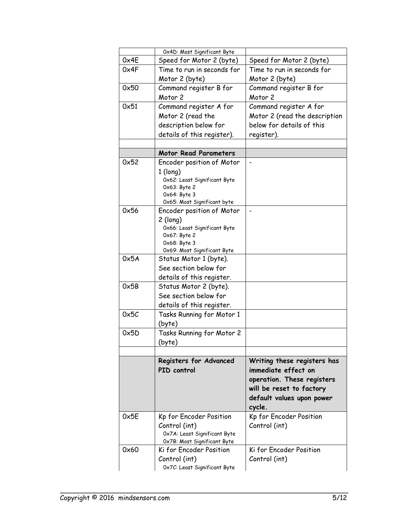|      | 0x4D: Most Significant Byte                            |                               |
|------|--------------------------------------------------------|-------------------------------|
| 0x4E | Speed for Motor 2 (byte)                               | Speed for Motor 2 (byte)      |
| 0x4F | Time to run in seconds for                             | Time to run in seconds for    |
|      | Motor 2 (byte)                                         | Motor 2 (byte)                |
| 0x50 | Command register B for                                 | Command register B for        |
|      | Motor <sub>2</sub>                                     | Motor <sub>2</sub>            |
| 0x51 | Command register A for                                 | Command register A for        |
|      | Motor 2 (read the                                      | Motor 2 (read the description |
|      | description below for                                  | below for details of this     |
|      | details of this register).                             | register).                    |
|      |                                                        |                               |
|      | <b>Motor Read Parameters</b>                           |                               |
| 0x52 | Encoder position of Motor                              |                               |
|      | $1$ (long)                                             |                               |
|      | Ox62: Least Significant Byte                           |                               |
|      | 0x63: Byte 2                                           |                               |
|      | 0x64: Byte 3                                           |                               |
| 0x56 | 0x65: Most Significant byte                            |                               |
|      | Encoder position of Motor                              |                               |
|      | $2$ (long)<br>Ox66: Least Significant Byte             |                               |
|      | 0x67: Byte 2                                           |                               |
|      | Ox68: Byte 3                                           |                               |
|      | Ox69: Most Significant Byte                            |                               |
| 0x5A | Status Motor 1 (byte).                                 |                               |
|      | See section below for                                  |                               |
|      | details of this register.                              |                               |
| 0x5B | Status Motor 2 (byte).                                 |                               |
|      | See section below for                                  |                               |
|      | details of this register.                              |                               |
| 0x5C | Tasks Running for Motor 1                              |                               |
|      | (byte)                                                 |                               |
| 0x5D | Tasks Running for Motor 2                              |                               |
|      | (byte)                                                 |                               |
|      |                                                        |                               |
|      | Registers for Advanced                                 | Writing these registers has   |
|      | PID control                                            | immediate effect on           |
|      |                                                        | operation. These registers    |
|      |                                                        | will be reset to factory      |
|      |                                                        | default values upon power     |
|      |                                                        | cycle.                        |
| 0x5E | Kp for Encoder Position                                | Kp for Encoder Position       |
|      | Control (int)                                          | Control (int)                 |
|      | Ox7A: Least Significant Byte                           |                               |
| 0x60 | Ox7B: Most Significant Byte<br>Ki for Encoder Position | Ki for Encoder Position       |
|      | Control (int)                                          | Control (int)                 |
|      | Ox7C: Least Significant Byte                           |                               |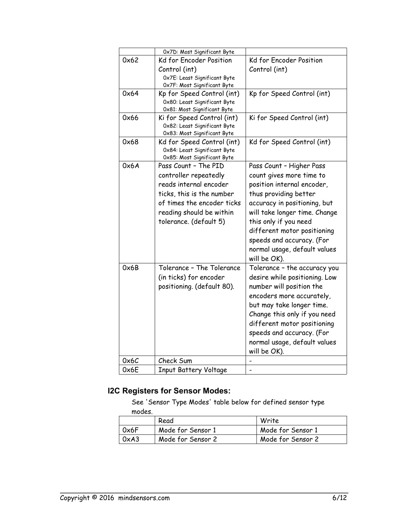|      | 0x7D: Most Significant Byte                                 |                               |
|------|-------------------------------------------------------------|-------------------------------|
| 0x62 | Kd for Encoder Position                                     | Kd for Encoder Position       |
|      | Control (int)                                               | Control (int)                 |
|      | Ox7E: Least Significant Byte                                |                               |
|      | Ox7F: Most Significant Byte                                 |                               |
| 0x64 | Kp for Speed Control (int)                                  | Kp for Speed Control (int)    |
|      | 0x80: Least Significant Byte                                |                               |
|      | 0x81: Most Significant Byte                                 |                               |
| 0x66 | Ki for Speed Control (int)                                  | Ki for Speed Control (int)    |
|      | 0x82: Least Significant Byte<br>0x83: Most Significant Byte |                               |
| 0x68 | Kd for Speed Control (int)                                  | Kd for Speed Control (int)    |
|      | 0x84: Least Significant Byte                                |                               |
|      | 0x85: Most Significant Byte                                 |                               |
| 0x6A | Pass Count - The PID                                        | Pass Count - Higher Pass      |
|      | controller repeatedly                                       | count gives more time to      |
|      | reads internal encoder                                      | position internal encoder,    |
|      | ticks, this is the number                                   | thus providing better         |
|      | of times the encoder ticks                                  | accuracy in positioning, but  |
|      | reading should be within                                    | will take longer time. Change |
|      | tolerance. (default 5)                                      | this only if you need         |
|      |                                                             |                               |
|      |                                                             | different motor positioning   |
|      |                                                             | speeds and accuracy. (For     |
|      |                                                             | normal usage, default values  |
|      |                                                             | will be OK).                  |
| 0x6B | Tolerance - The Tolerance                                   | Tolerance - the accuracy you  |
|      | (in ticks) for encoder                                      | desire while positioning. Low |
|      | positioning. (default 80).                                  | number will position the      |
|      |                                                             | encoders more accurately,     |
|      |                                                             | but may take longer time.     |
|      |                                                             | Change this only if you need  |
|      |                                                             | different motor positioning   |
|      |                                                             | speeds and accuracy. (For     |
|      |                                                             | normal usage, default values  |
|      |                                                             | will be OK).                  |
| 0x6C | Check Sum                                                   |                               |
| 0x6E | <b>Input Battery Voltage</b>                                |                               |
|      |                                                             |                               |

# **I2C Registers for Sensor Modes:**

See 'Sensor Type Modes' table below for defined sensor type modes.

|      | Read              | Write             |
|------|-------------------|-------------------|
| 0x6F | Mode for Sensor 1 | Mode for Sensor 1 |
| 0xA3 | Mode for Sensor 2 | Mode for Sensor 2 |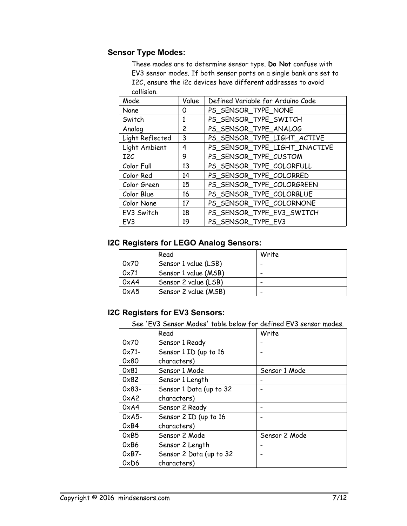# **Sensor Type Modes:**

These modes are to determine sensor type. **Do Not** confuse with EV3 sensor modes. If both sensor ports on a single bank are set to I2C, ensure the i2c devices have different addresses to avoid collision.

| Mode             | Value                 | Defined Variable for Arduino Code |
|------------------|-----------------------|-----------------------------------|
| None             | 0                     | PS_SENSOR_TYPE_NONE               |
| Switch           | 1                     | PS_SENSOR_TYPE_SWITCH             |
| Analog           | $\mathbf{2}^{\prime}$ | PS_SENSOR_TYPE_ANALOG             |
| Light Reflected  | 3                     | PS_SENSOR_TYPE_LIGHT_ACTIVE       |
| Light Ambient    | 4                     | PS_SENSOR_TYPE_LIGHT_INACTIVE     |
| I <sub>2</sub> C | 9                     | PS_SENSOR_TYPE_CUSTOM             |
| Color Full       | 13                    | PS_SENSOR_TYPE_COLORFULL          |
| Color Red        | 14                    | PS_SENSOR_TYPE_COLORRED           |
| Color Green      | 15                    | PS_SENSOR_TYPE_COLORGREEN         |
| Color Blue       | 16                    | PS_SENSOR_TYPE_COLORBLUE          |
| Color None       | 17                    | PS_SENSOR_TYPE_COLORNONE          |
| EV3 Switch       | 18                    | PS_SENSOR_TYPE_EV3_SWITCH         |
| EV <sub>3</sub>  | 19                    | PS SENSOR TYPE EV3                |

# **I2C Registers for LEGO Analog Sensors:**

|      | Read                 | Write                    |
|------|----------------------|--------------------------|
| 0x70 | Sensor 1 value (LSB) | $\overline{\phantom{0}}$ |
| 0x71 | Sensor 1 value (MSB) | -                        |
| 0xA4 | Sensor 2 value (LSB) |                          |
| 0xA5 | Sensor 2 value (MSB) | -                        |

# **I2C Registers for EV3 Sensors:**

See 'EV3 Sensor Modes' table below for defined EV3 sensor modes.

|                 | Read                    | Write         |
|-----------------|-------------------------|---------------|
|                 |                         |               |
| 0x70            | Sensor 1 Ready          |               |
| $0x71 -$        | Sensor 1 ID (up to 16   |               |
| 0x80            | characters)             |               |
| $0 \times 81$   | Sensor 1 Mode           | Sensor 1 Mode |
| 0x82            | Sensor 1 Length         |               |
| $0x83 -$        | Sensor 1 Data (up to 32 |               |
| 0xA2            | characters)             |               |
| 0xA4            | Sensor 2 Ready          |               |
| $0 \times A5$ - | Sensor 2 ID (up to 16   |               |
| 0xB4            | characters)             |               |
| $0 \times B5$   | Sensor 2 Mode           | Sensor 2 Mode |
| $0 \times B6$   | Sensor 2 Length         |               |
| $0xB7 -$        | Sensor 2 Data (up to 32 |               |
| 0xD6            | characters)             |               |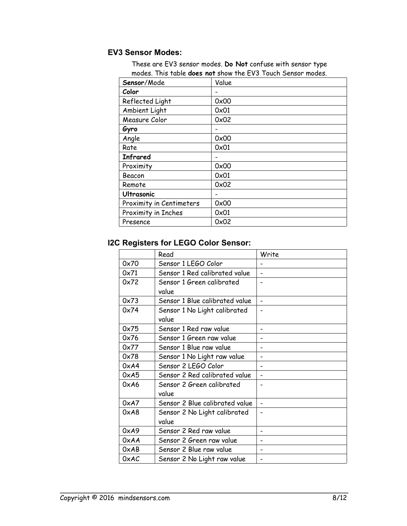# **EV3 Sensor Modes:**

These are EV3 sensor modes. **Do Not** confuse with sensor type modes. This table **does not** show the EV3 Touch Sensor modes.

| Sensor/Mode              | Value       |
|--------------------------|-------------|
| Color                    |             |
| Reflected Light          | 0x00        |
| Ambient Light            | 0x01        |
| Measure Color            | 0x02        |
| Gyro                     |             |
| Angle                    | 0x00        |
| Rate                     | 0x01        |
| <b>Infrared</b>          |             |
| Proximity                | 0x00        |
| Beacon                   | 0x01        |
| Remote                   | 0x02        |
| <b>Ultrasonic</b>        | -           |
| Proximity in Centimeters | 0x00        |
| Proximity in Inches      | $0\times01$ |
| Presence                 | 0x02        |

# **I2C Registers for LEGO Color Sensor:**

|      | Read                                  | Write                        |
|------|---------------------------------------|------------------------------|
| 0x70 | Sensor 1 LEGO Color                   |                              |
| 0x71 | Sensor 1 Red calibrated value         |                              |
| 0x72 | Sensor 1 Green calibrated             |                              |
|      | value                                 |                              |
| 0x73 | Sensor 1 Blue calibrated value        | $\overline{\phantom{0}}$     |
| 0x74 | Sensor 1 No Light calibrated<br>value |                              |
| 0x75 | Sensor 1 Red raw value                |                              |
| 0x76 | Sensor 1 Green raw value              |                              |
| 0x77 | Sensor 1 Blue raw value               | $\overline{\phantom{0}}$     |
| 0x78 | Sensor 1 No Light raw value           |                              |
| 0xA4 | Sensor 2 LEGO Color                   |                              |
| 0xA5 | Sensor 2 Red calibrated value         | $\qquad \qquad \blacksquare$ |
| 0xA6 | Sensor 2 Green calibrated             |                              |
|      | value                                 |                              |
| 0xA7 | Sensor 2 Blue calibrated value        |                              |
| 0xA8 | Sensor 2 No Light calibrated          |                              |
|      | value                                 |                              |
| 0xA9 | Sensor 2 Red raw value                |                              |
| 0xAA | Sensor 2 Green raw value              |                              |
| 0xAB | Sensor 2 Blue raw value               |                              |
| 0xAC | Sensor 2 No Light raw value           |                              |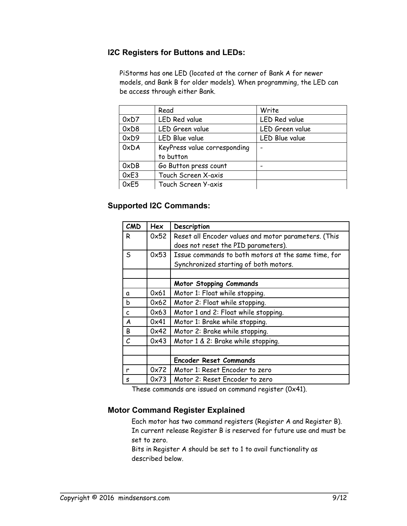## **I2C Registers for Buttons and LEDs:**

 PiStorms has one LED (located at the corner of Bank A for newer models, and Bank B for older models). When programming, the LED can be access through either Bank.

|               | Read                         | Write                |
|---------------|------------------------------|----------------------|
| 0xD7          | <b>LED Red value</b>         | <b>LED Red value</b> |
| 0xD8          | LED Green value              | LED Green value      |
| 0xD9          | LED Blue value               | LED Blue value       |
| 0xDA          | KeyPress value corresponding |                      |
|               | to button                    |                      |
| 0xDB          | Go Button press count        |                      |
| $0 \times E3$ | Touch Screen X-axis          |                      |
| 0xE5          | Touch Screen Y-axis          |                      |

## **Supported I2C Commands:**

| CMD | Hex  | Description                                          |
|-----|------|------------------------------------------------------|
| R   | 0x52 | Reset all Encoder values and motor parameters. (This |
|     |      | does not reset the PID parameters).                  |
| S   | 0x53 | Issue commands to both motors at the same time, for  |
|     |      | Synchronized starting of both motors.                |
|     |      |                                                      |
|     |      | <b>Motor Stopping Commands</b>                       |
| a   | 0x61 | Motor 1: Float while stopping.                       |
| b   | 0x62 | Motor 2: Float while stopping.                       |
| C   | 0x63 | Motor 1 and 2: Float while stopping.                 |
| A   | 0x41 | Motor 1: Brake while stopping.                       |
| B   | 0x42 | Motor 2: Brake while stopping.                       |
| C   | 0x43 | Motor 1 & 2: Brake while stopping.                   |
|     |      |                                                      |
|     |      | <b>Encoder Reset Commands</b>                        |
| r   | 0x72 | Motor 1: Reset Encoder to zero                       |
| S   | 0x73 | Motor 2: Reset Encoder to zero                       |

These commands are issued on command register (0x41).

### **Motor Command Register Explained**

Each motor has two command registers (Register A and Register B). In current release Register B is reserved for future use and must be set to zero.

Bits in Register A should be set to 1 to avail functionality as described below.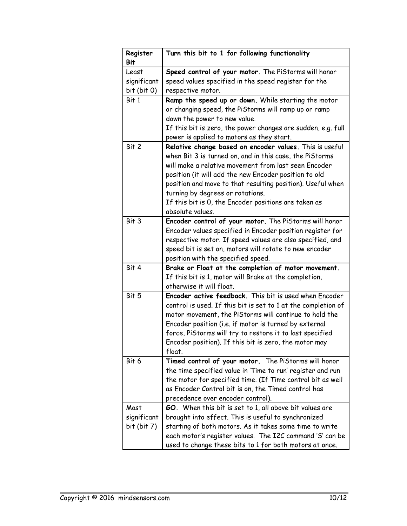| Register<br>Bit                     | Turn this bit to 1 for following functionality                                                                                                                                                                                                                                                                                                                                                                    |
|-------------------------------------|-------------------------------------------------------------------------------------------------------------------------------------------------------------------------------------------------------------------------------------------------------------------------------------------------------------------------------------------------------------------------------------------------------------------|
| Least<br>significant<br>bit (bit 0) | Speed control of your motor. The PiStorms will honor<br>speed values specified in the speed register for the<br>respective motor.                                                                                                                                                                                                                                                                                 |
| Bit 1                               | Ramp the speed up or down. While starting the motor<br>or changing speed, the PiStorms will ramp up or ramp<br>down the power to new value.<br>If this bit is zero, the power changes are sudden, e.g. full<br>power is applied to motors as they start.                                                                                                                                                          |
| Bit 2                               | Relative change based on encoder values. This is useful<br>when Bit 3 is turned on, and in this case, the PiStorms<br>will make a relative movement from last seen Encoder<br>position (it will add the new Encoder position to old<br>position and move to that resulting position). Useful when<br>turning by degrees or rotations.<br>If this bit is 0, the Encoder positions are taken as<br>absolute values. |
| Bit 3                               | Encoder control of your motor. The PiStorms will honor<br>Encoder values specified in Encoder position register for<br>respective motor. If speed values are also specified, and<br>speed bit is set on, motors will rotate to new encoder<br>position with the specified speed.                                                                                                                                  |
| Bit 4                               | Brake or Float at the completion of motor movement.<br>If this bit is 1, motor will Brake at the completion,<br>otherwise it will float.                                                                                                                                                                                                                                                                          |
| Bit 5                               | Encoder active feedback. This bit is used when Encoder<br>control is used. If this bit is set to 1 at the completion of<br>motor movement, the PiStorms will continue to hold the<br>Encoder position (i.e. if motor is turned by external<br>force, PiStorms will try to restore it to last specified<br>Encoder position). If this bit is zero, the motor may<br>float.                                         |
| Bit 6                               | Timed control of your motor. The PiStorms will honor<br>the time specified value in 'Time to run' register and run<br>the motor for specified time. (If Time control bit as well<br>as Encoder Control bit is on, the Timed control has<br>precedence over encoder control).                                                                                                                                      |
| Most<br>significant<br>bit (bit 7)  | GO. When this bit is set to 1, all above bit values are<br>brought into effect. This is useful to synchronized<br>starting of both motors. As it takes some time to write<br>each motor's register values. The I2C command 'S' can be<br>used to change these bits to 1 for both motors at once.                                                                                                                  |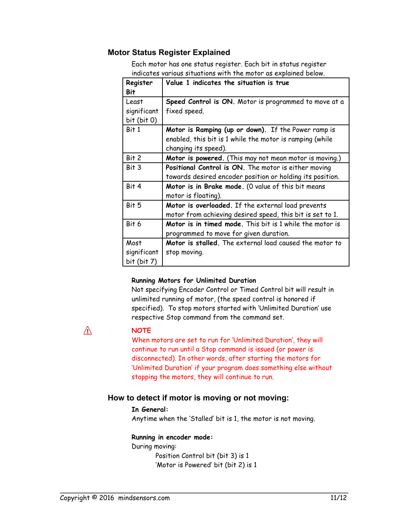### **Motor Status Register Explained**

Each motor has one status register. Each bit in status register indicates various situations with the motor as explained below.

| Register<br>Bit                     | Value 1 indicates the situation is true                                                                                                 |
|-------------------------------------|-----------------------------------------------------------------------------------------------------------------------------------------|
| Least<br>significant<br>bit (bit 0) | Speed Control is ON. Motor is programmed to move at a<br>fixed speed.                                                                   |
| Bit 1                               | Motor is Ramping (up or down). If the Power ramp is<br>enabled, this bit is 1 while the motor is ramping (while<br>changing its speed). |
| Bit 2                               | Motor is powered. (This may not mean motor is moving.)                                                                                  |
| Bit 3                               | Positional Control is ON. The motor is either moving<br>towards desired encoder position or holding its position.                       |
| Bit 4                               | Motor is in Brake mode. (O value of this bit means<br>motor is floating).                                                               |
| Bit 5                               | Motor is overloaded. If the external load prevents<br>motor from achieving desired speed, this bit is set to 1.                         |
| Bit 6                               | Motor is in timed mode. This bit is 1 while the motor is<br>programmed to move for given duration.                                      |
| Most                                | Motor is stalled. The external load caused the motor to                                                                                 |
| significant<br>bit (bit 7)          | stop moving.                                                                                                                            |

#### **Running Motors for Unlimited Duration**

Not specifying Encoder Control or Timed Control bit will result in unlimited running of motor, (the speed control is honored if specified). To stop motors started with 'Unlimited Duration' use respective Stop command from the command set.

Ж

#### **NOTE**

When motors are set to run for 'Unlimited Duration', they will continue to run until a Stop command is issued (or power is disconnected). In other words, after starting the motors for 'Unlimited Duration' if your program does something else without stopping the motors, they will continue to run.

#### **How to detect if motor is moving or not moving:**

#### **In General:**

Anytime when the 'Stalled' bit is 1, the motor is not moving.

#### **Running in encoder mode:**

During moving: Position Control bit (bit 3) is 1 'Motor is Powered' bit (bit 2) is 1